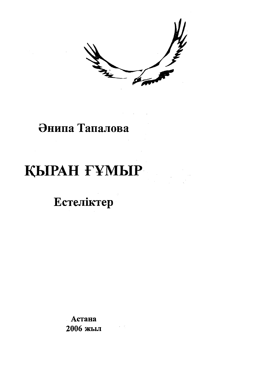交

## Әнипа Тапалова

# КЫРАН ҒҰМЫР

Естеліктер

Астана 2006 жыл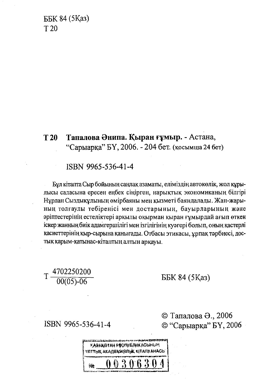ББК 84 (5Каз)  $T<sub>20</sub>$ 

#### Тапалова Әнипа. Кыран ғұмыр. - Астана,  $T20$ "Сарыарка" БҮ, 2006. - 204 бет. (қосымша 24 бет)

ISBN 9965-536-41-4

Бұл кітапта Сыр бойының саңлақ азаматы, еліміздің автокөлік, жол құрылысы саласына ересен еңбек сіңірген, нарықтық экономиканың білгірі Нұрлан Сыздықұлының өмірбаяны мен қызметі баяндалады. Жан-жарының толғаулы тебіренісі мен достарының, бауырларының және әріптестерінің естеліктері арқылы оқырман қыран ғұмырдай ағып өткен іскер жанның биік адамгершілігі мен ізгілігінің куәгері болып, оның қастерлі қасиеттерінің қыр-сырына қанығады. Отбасы этикасы, ұрпақ тәрбиесі, достық қарым-қатынас-кітаптың алтын арқауы.

 $T\frac{4702250200}{00(05)-06}$ 

ББК 84 (5Каз)

ISBN 9965-536-41-4

© Тапалова Ә., 2006 © "Сарыарқа" БҮ, 2006

| <b>historical de la constitution of the constitution of the constitution of the constitution of the constitution</b> o<br>КАЙАКВҮЛИ РЕСПУБЛИКАСЫНЫҢ |  |
|-----------------------------------------------------------------------------------------------------------------------------------------------------|--|
| ј улттық академиялық кітапханасы                                                                                                                    |  |
| 306304                                                                                                                                              |  |
|                                                                                                                                                     |  |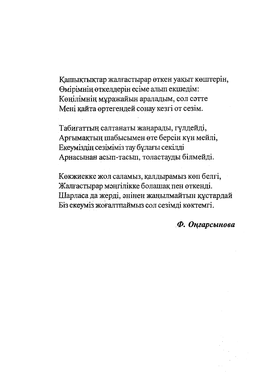Кашықтықтар жалғастырар өткен уақыт көштерін, Өмірімнің өткелдерін есіме алып екшедім: Көнілімнің мұражайын араладым, сол сәтте Мені кайта өртегендей сонау кезгі от сезім.

Табиғаттың салтанаты жаңарады, гүлдейді, Арғымақтың шабысымен өте берсін күн мейлі, Екеуміздің сезіміміз тау бұлағы секілді Арнасынан асып-тасып, толастауды білмейді.

Көкжиекке жол саламыз, қалдырамыз көп белгі, Жалғастырар мәңгілікке болашақ пен өткенді. Шарласа да жерді, әнінен жаңылмайтын құстардай Біз екеуміз жоғалтпаймыз сол сезімді көктемгі.

Ф. Оңгарсынова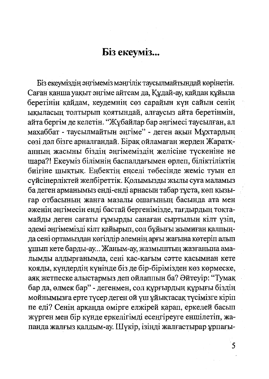#### Біз екеуміз...

Біз екеуміздің әңгімеміз мәңгілік таусылмайтындай көрінетін. Саған қанша уақыт әңгіме айтсам да, Құдай-ау, қайдан құйыла беретінің қайдам, кеудемнің сөз сарайын күн сайын сенің ыкыласын толтырып коятындай, алғаусыз айта беретінмін, айта бергім де келетін. "Жұбайлар бар әңгімесі таусылған, ал махаббат - таусылмайтын эңгіме" - деген ақын Мұхтардың сөзі дәл бізге арналғандай. Бірақ ойламаған жерден Жаратқаннын жасыны біздің әнгімеміздің желісіне түскеніне не шара?! Екеуміз білімнің баспалдағымен өрлеп, біліктіліктің биігіне шықтық. Енбектін енселі төбесінде жеміс туын ел сүйсінерліктей желбіреттік. Қолымызды жылы суға маламыз ба деген арманымыз енді-енді арнасын табар тұста, көп қызығар отбасының жанға мазалы ошағының басында ата мен эженің әңгімесін енді бастай бергенімізде, тағдырдың тоқтамайды деген сағаты ғұмырды санаған сыртылын кілт үзіп, әдемі әңгімемізді кілт қайырып, сол бұйығы жымиған қалпыңда сені ортамыздан көгілдір әлемнің арғы жағына көтеріп алып ұшып кете барды-ау... Жаным-ау, жазмыштың жазғанына амалымды алдырғанымда, сені қас-қағым сәтте қасымнан кете кояды, кундердің күнінде біз де бір-бірімізден көз көрмеске, аяқ жетпеске алыстармыз деп ойлаппын ба? Әйтеуір: "Тумақ бар да, өлмек бар" - дегенмен, сол құрғырдың құрығы біздің мойнымызға ерте түсер деген ой үш ұйықтасақ түсімізге кіріп пе еді? Сенің арқаңда өмірге елжірей қарап, еркелей басып жүрген мен бір күнде еркелігімді есеңгіреуге еншілетіп, жапанда жалғыз қалдым-ау. Шүкір, ізінді жалғастырар ұрпағы-

5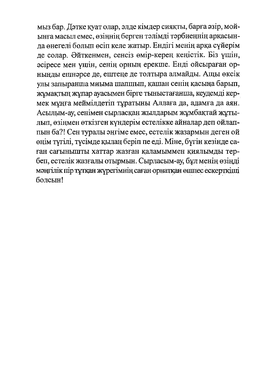мыз бар. Дэтке куат олар, элде кімдер сияқты, барға әзір, мойынға масыл емес, өзіннің берген тәлімді тәрбиеңнің арқасынла өнегелі болып өсіп келе жатыр. Ендігі менің арқа сүйерім ле солар. Әйткенмен, сенсіз өмір-керең кеңістік. Біз үшін, әсіресе мен ушін, сенің орның ерекше. Енді ойсыраған орнынды ешнәрсе де, ештеңе де толтыра алмайды. Ащы өксік улы запыранша миыма шапшып, қашан сенің қасыңа барып, жұмақтың жұпар ауасымен бірге тыныстағанша, кеудемді кермек мұңға меймілдетіп тұратыны Аллаға да, адамға да аян. Асылым-ау, сенімен сырласқан жылдарым жұмбақтай жұтылып, өзінмен өткізген күндерім естелікке айналар деп ойлаппын ба?! Сен туралы әңгіме емес, естелік жазармын деген ой өңім түгілі, түсімде қылаң беріп пе еді. Міне, бүгін кезінде саған сағынышты хаттар жазған қаламыммен қиялымды тербеп, естелік жазғалы отырмын. Сырласым-ау, бұл менің өзінді мәңгілік пір тұтқан жүрегімнің саған орнатқан өшпес ескерткіші болсын!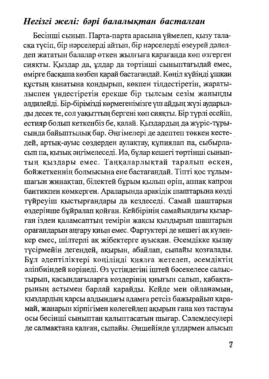#### Негізгі желі: бәрі балалықтан басталған

Бесінші сынып. Парта-парта арасына үймелеп, қызу таласка түсіп, бір нәрселерді айтып, бір нәрселерді өзеурей дәлелдеп жататын балалар өткен жылғыға қарағанда көп өзгерген сияқты. Қыздар да, ұлдар да төртінші сыныптағыдай емес, өмірге басқаша көзбен қарай бастағандай. Көңіл күйіңді ұшқан құстың қанатына қондырып, көкпен тілдестіретін, жаратылыспен үндестіретін ерекше бір тылсым сезім жаныңды әлдилейді. Бір-бірімізді көрмегенімізге үш айдың жүзі аударылды десек те, сол уақыттың бергені көп сияқты. Бір түрлі есейіп, естияр болып кеткенбіз бе, қалай. Қыздардың да жүріс-тұрысында байыптылық бар. Әңгімелері де әдептеп төккен кестедей, артық-ауыс сөздерден аулақтау, құпиялап па, сыбырласып па, қызық әңгімелеседі. Иә, бұлар кешегі төртінші сыныптың қыздары емес. Таңқаларлықтай таралып өскен, бойжеткеннің болмысына ене бастағандай. Тіпті қос тұлымшағын жинақтап, білектей бұрым қылып өріп, аппақ капрон бантикпен көмкерген. Араларында аракідік шаштарына көзді түйреуіш қыстырғандары да кездеседі. Самай шаштарын өздерінше бұйралап қойған. Кейбірінің самайындағы қызарған ізден қаламсаптың темірін жақсы қыздырып шаштарын орағандарын аңғару қиын емес. Фартуктері де кешегі ақ күленкер емес, шілтерлі ақ жібектерге ауысқан. Әсемдікке қылау түсірмейін дегендей, ақырын, абайлап, сыпайы қозғалады. Бұл әдептіліктері көңілінді қиялға жетелеп, әсемдіктің әліпбиіндей көрінеді. Өз үстіндегіні іштей бәсекелесе салыстырып, қасындағыларға көздерінің қиығын салып, қабақтарының астымен барлай қарайды. Кейде мен ойланамын, қыздардың қарсы алдындағы адамға ретсіз бажырайып қарамай, жанарын кірпігімен көлегейлеп ақырын ғана көз тастауы осы бесінші сыныптан қалыптасатын шығар. Сәлемдесулері де салмақтана қалған, сыпайы. Әншейінде ұлдармен алысып

 $7\phantom{.}$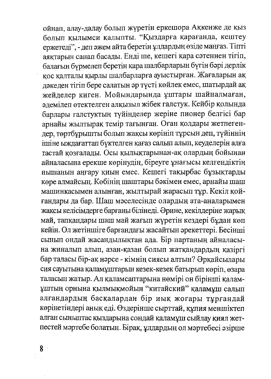ойнап, алау-далау болып жүретін еркешора Ақкенже де қыз болып қылымси қалыпты. "Қыздарға қарағанда, кештеу ержетеді", - деп әжем айта беретін ұлдардың өзіде маңғаз. Тіпті аяқтарын санап басады. Енді ше, кешегі қара сәтеннен тігіп, балағын бүрмелеп беретін қара шалбарларын бүгін бәрі дерлік кос қалталы қырлы шалбарларға ауыстырған. Жағаларын ақ дәкеден тігіп бере салатын әр түсті көйлек емес, шатырдай ақ жейделер киген. Мойындарында ұштары шайналмаған, эдемілеп өтектелген алқызыл жібек галстук. Кейбір қолында барлары галстуктың түйінделер жеріне пионер белгісі бар арнайы жылтырақ темір тағынған. Оған қолдары жетпегендер, төртбұрышты болып жақсы көрініп тұрсын деп, түйіннің ішіне ыждағаттап бүктелген қағаз салып алып, кеуделерін алға тастай қозғалады. Осы қылықтарынан-ақ олардың бойынан айналасына ерекше көрінудің, біреуге ұнағысы келгендіктің нышанын аңғару қиын емес. Кешегі тақырбас бұзықтарды көре алмайсың. Көбінің шаштары бәкімен емес, арнайы шаш машинкасымен алынған, жылтырай жарасып тұр. Кекіл қойғандары да бар. Шаш мәселесінде олардың ата-аналарымен жақсы келісімдерге барғаны білінеді. Әрине, кекілдеріне жарық май, тапқандары шаш май жағып жүретін кездері бұдан көп кейін. Ол жетіншіге барғандағы жасайтын әрекеттері. Бесінші сынып ондай жасандылықтан ада. Бір партаның айналасына жиналып алып, азан-қазан болып жатқандардың қазіргі бар таласы бір-ақ нәрсе - кімнің сиясы алтын? Әрқайсылары сия сауытына қаламұштарын кезек-кезек батырып көріп, өзара таласып жатыр. Ал қаламсаптарына нөмірі он бірінші қаламұштың орнына қылмықмойын "китайский" қаламұш салып алғандардың басқалардан бір иық жоғары тұрғандай көрінетіндері анық еді. Өздерінше сырттай, құпия меншіктеп алған сыныптас қыздарына сондай қаламұш сыйлау қиял жетпестей мәртебе болатын. Бірақ, ұлдардың ол мәртебесі әзірше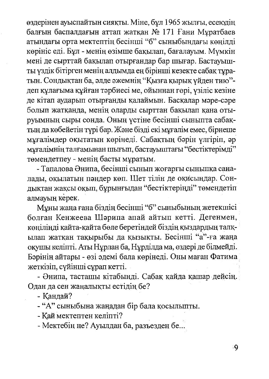өздерінен ауыспайтын сияқты. Міне, бұл 1965 жылғы, есеюдің балғын баспалдағын аттап жаткан № 171 Ғани Мұратбаев атындағы орта мектептің бесінші "б" сыныбындағы көңілді көрініс еді. Бұл - менің өзімше бақылап, бағалауым. Мүмкін мені де сырттай бақылап отырғандар бар шығар. Бастауышты үздік бітірген менің алдымда ең бірінші кезекте сабақ тұратын. Сондыктан ба, әлде әжемнің "Қызға қырық үйден тию"деп құлағыма құйған тәрбиесі ме, ойыннан гөрі, үзіліс кезіне де кітап аударып отырғанды қалаймын. Басқалар мәре-сәре болып жатканда, менің оларды сырттан бақылап қана отыруымның сыры сонда. Оның үстіне бесінші сыныпта сабақтың да көбейетін түрі бар. Және бізді екі мұғалім емес, бірнеше мұғалімдер оқытатын көрінеді. Сабақтың бәрін үлгіріп, әр мұғалімнің талғамынан шығып, бастауыштағы "бестіктерімді" төмендетпеу - менің басты мұратым.

- Тапалова Әнипа, бесінші сынып жоғарғы сыныпқа саналады, оқылатын пәндер көп. Шет тілін де оқисыңдар. Сондықтан жақсы оқып, бұрынғыдан "бестіктерінді" төмендетіп алмауың керек.

Мұны жаңа ғана біздің бесінші "б" сыныбының жетекшісі болған Кенжеева Шәрипа апай айтып кетті. Дегенмен, көңіліңді қайта-қайта бөле беретіндей біздің қыздардың талқылап жатқан тақырыбы да қызықты. Бесінші "а"-ға жаңа окушы келіпті. Аты Нұрлан ба, Нұрділда ма, өздері де білмейді. Бәрінің айтары - өзі әдемі бала көрінеді. Оны маған Фатима жеткізіп, сүйінші сұрап кетті.

- Әнипа, тасташы кітабынді. Сабақ қайда қашар дейсің. Одан да сен жаңалықты естідің бе?

- Кандай?

- "А" сыныбына жаңадан бір бала қосылыпты.

- Каймектептен келіпті?

- Мектебің не? Ауылдан ба, разъезден бе...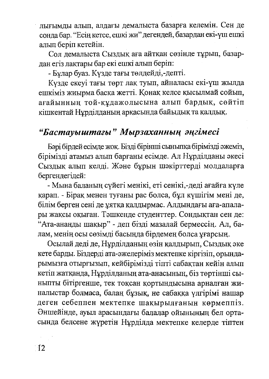лығымды алып, алдағы демалыста базарға келемін. Сен де сонда бар. "Есің кетсе, ешкі жи" дегендей, базардан екі-үш ешкі алып беріп кетейін.

Сол демалыста Сыздық аға айтқан сөзінде тұрып, базардан егіз лақтары бар екі ешкі алып беріп:

- Бұлар буаз. Күзде тағы төлдейді,-депті.

Кузде екеуі тағы төрт лақ туып, айналасы екі-үш жылда ешкіміз жиырма басқа жетті. Қонақ келсе қысылмай сойып, ағайынның той-құдажолысына алып бардық, сөйтіп кішкентай Нұрділданың арқасында байыдық та қалдық.

### "Бастауыштағы" Мырзаханның әңгімесі

Бәрі бірдей есімде жоқ. Бізді бірінші сыныпқа бірімізді әжеміз, бірімізді атамыз алып барғаны есімде. Ал Нұрділданы әкесі Сыздық алып келді. Және бұрын шәкірттерді молдаларға бергендегідей:

- Мына баланың сүйегі менікі, еті сенікі,-деді ағайға күле қарап. - Бірақ менен туғаны рас болса, бұл күшігім мені де, білім берген сені де ұятқа қалдырмас. Алдындағы аға-апалары жақсы оқыған. Тәшкенде студенттер. Сондықтан сен де: "Ата-ананды шақыр" - деп бізді мазалай бермессің. Ал, балам, менің осы сөзімді басыңда бірдемең болса ұғарсың.

Осылай деді де, Нұрділданың өзін қалдырып, Сыздық әке кете барды. Біздерді ата-әжелеріміз мектепке кіргізіп, орындарымызға отырғызып, кейбірімізді тіпті сабақтан кейін алып кетіп жатқанда, Нұрділданың ата-анасының, біз төртінші сыныпты бітіргенше, тек тоқсан қортындысына арналған жиналыстар болмаса, балаң бұзық, не сабаққа үлгірімі нашар деген себеппен мектепке шақырылғанын көрмеппіз. Әншейінде, ауыл арасындағы балалар ойынының бел ортасында белсене жүретін Нұрділда мектепке келерде тіптен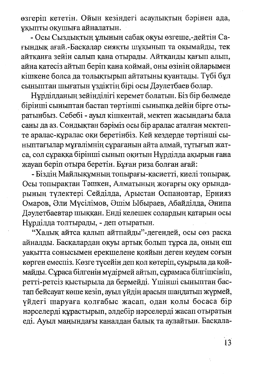өзгеріп кететін. Ойын кезіндегі асаулықтың бәрінен ада, ұқыпты оқушыға айналатын.

- Осы Сыздыктын ұлының сабақ оқуы өзгеше,-дейтін Сағындық ағай.-Басқалар сияқты шұқынып та оқымайды, тек айтқанға зейін салып қана отырады. Айтқанды қағып алып, айна қатесіз айтып беріп қана қоймай, оны өзінің ойларымен кішкене болса да толықтырып айтатыны қуантады. Түбі бұл сыныптан шығатын үздіктің бірі осы Дәулетбаев болар.

Нұрділданың зейінділігі керемет болатын. Біз бір бөлмеде бірінші сыныптан бастап төртінші сыныпқа дейін бірге отыратынбыз. Себебі - ауыл кішкентай, мектеп жасындағы бала саны да аз. Сондықтан бәріміз осы бір аралас аталған мектепте аралас-құралас оқи беретінбіз. Кей кездерде төртінші сыныптағылар мұғалімнің сұрағанын айта алмай, тұтығып жатса, сол сұраққа бірінші сынып оқитын Нұрділда ақырын ғана жауап беріп отыра беретін. Бұған риза болған ағай:

- Біздің Майлықұмның топырағы-қасиетті, киелі топырақ. Осы топырақтан Тәшкен, Алматының жоғарғы оқу орындарының түлектері Сейділда, Арыстан Оспановтар, Ернияз Омаров, Әли Мүсілімов, Әшім Ыбыраев, Абайділда, Әнипа Дәулетбаевтар шыққан. Енді келешек солардың қатарын осы Нұрділда толтырады, - деп отыратын.

"Халық айтса қалып айтпайды"-дегендей, осы сөз расқа айналды. Басқалардан оқуы артық болып тұрса да, оның еш уақытта сонысымен ерекшелене қояйын деген кеудем соғын көрген емеспіз. Көзге түсейін деп қол көтеріп, суырыла да қоймайды. Сұраса білгенін мүдірмей айтып, сұрамаса білгішсініп, ретті-ретсіз қыстырыла да бермейді. Үшінші сыныптан бастап бейсауат көше кезіп, ауыл үйдің арасын шаңдатып жүрмей, үйдегі шаруаға қолғабыс жасап, одан қолы босаса бір нәрселерді құрастырып, әлдебір нәрселерді жасап отыратын еді. Ауыл маңындағы каналдан балық та аулайтын. Басқала-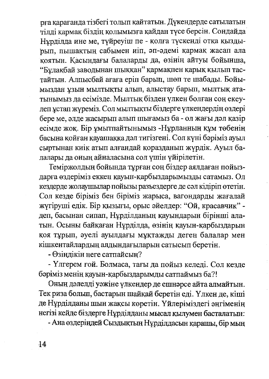рға қарағанда тізбегі толып қайтатын. Дүкендерде сатылатын тілді қармақ біздің қолымызға қайдан түсе берсін. Сондайда Нұрділда ине ме, түйреуіш пе - қолға түскенді отқа қыздырып, пышақтың сабымен иіп, әп-әдемі қармақ жасап ала коятын. Касындағы балаларды да, өзінің айтуы бойынша, "Бұлақбай заводынан шыққан" қармақпен қарық қылып тастайтын. Алпысбай ағаға еріп барып, шөп те шабады. Бойымыздан ұзын мылтықты алып, алыстау барып, мылтық ататынымыз да есімізде. Мылтық бізден үлкен болған соң екеулеп ұстап жүреміз. Сол мылтықты біздерге үлкендердің өздері бере ме, әлде жасырып алып шығамыз ба - ол жағы дәл қазір есімде жоқ. Бір ұмытпайтынымыз -Нұрланның құм төбенің басына қойған қауашаққа дәл тигізгені. Сол күні бәріміз ауыл сыртынан киік атып алғандай қоразданып жүрдік. Ауыл балалары да оның айналасына сол үшін үйірілетін.

Теміржолдың бойында тұрған соң біздер аялдаған пойыздарға өздеріміз еккен қауын-қарбыздарымызды сатамыз. Ол кездерде жолаушылар пойызы разъездерге де сәл кідіріп өтетін. Сол кезде біріміз бен біріміз жарыса, вагондарды жағалай жүгіруші едік. Бір қызығы, орыс әйелдер: "Ой, красавчик" деп, басынан сипап, Нұрділданың қауындарын бірінші алатын. Осыны байқаған Нұрділда, өзінің қауын-қарбыздарын қоя тұрып, әуелі ауылдағы мұқтажды деген балалар мен кішкентайлардың алдындағыларын сатысып беретін.

- Өзіндікін неге сатпайсын?

- Үлгерем ғой. Болмаса, тағы да пойыз келеді. Сол кезде бәріміз менің қауын-қарбыздарымды сатпаймыз ба?!

Оның дәлелді уәжіне үлкендер де ешнәрсе айта алмайтын. Тек риза больш, бастарын шайқай беретін еді. Үлкен де, кіші де Нұрділданы шын жақсы көретін. Үйлеріміздегі әңгіменің негізі кейде біздерге Нұрділданы мысал қылумен басталатын:

- Ана өздеріндей Сыздықтың Нұрділдасын қарашы, бір мың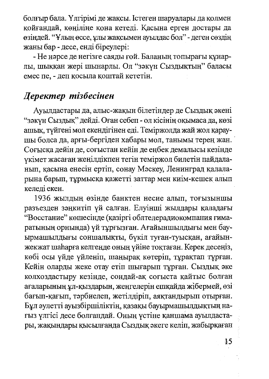болғыр бала. Үлгірімі де жақсы. Істеген шаруалары да қолмен қойғандай, көңіліңе қона кетеді. Қасына ерген достары да өзіндей. "Ұлың өссе, ұлы жақсымен ауылдас бол" - деген сөздің жаны бар - десе, енді біреулері:

- Не нәрсе де негізге саяды ғой. Баланың топырағы құнарлы, шыққан жері шынарлы. Ол "зәкүн Сыздықтың" баласы емес пе, - деп қосыла қоштай кететін.

#### Деректер тізбесінен

Ауылдастары да, алыс-жақын білетіндер де Сыздық әкені "зәкүн Сыздық" дейді. Оған себеп - ол кісінің оқымаса да, көзі ашық, түйгені мол екендігінен еді. Теміржолда жай жол қараушы болса да, арғы-бергіден хабары мол, танымы терең жан. Соғысқа дейін де, соғыстан кейін де еңбек демалысы кезінде үкімет жасаған жеңілдікпен тегін теміржол билетін пайдаланып, қасына енесін ертіп, сонау Мәскеу, Ленинград қалаларына барып, тұрмысқа қажетті заттар мен киім-кешек алып келеді екен.

1936 жылдың өзінде банктен несие алып, тоғызыншы разъезден зәңкитіп үй салған. Елуінші жылдары қаладағы "Восстание" көшесінде (қазіргі облтелерадиокомпания ғимаратының орнында) үй тұрғызған. Ағайыншылдығы мен бауырмашылдығы соншалықты, бүкіл туған-туысқан, ағайынжекжат шаһарға келгенде оның үйіне тоқтаған. Керек десеңіз, көбі осы үйде үйленіп, шаңырақ көтеріп, тұрақтап тұрған. Кейін оларды жеке отау етіп шығарып тұрған. Сыздық әке колхоздастыру кезінде, сондай-ақ соғыста қайтыс болған ағаларының ұл-қыздарын, жеңгелерін ешқайда жібермей, өзі бағып-қағып, тәрбиелеп, жетілдіріп, аяқтандырып отырған. Бұл әулетті ауызбіршіліктің, қазақы бауырмашылдықтың нағыз үлгісі десе болғандай. Оның үстіне қаншама ауылдастары, жақындары қысылғанда Сыздық әкеге келіп, жабырқаған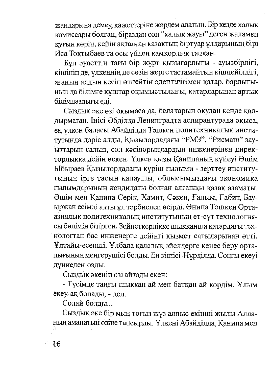жанларына демеу, кажеттеріне жәрдем алатын. Бір кезде халық комиссары болған, біраздан соң "халық жауы" деген жаламен қуғын көріп, кейін ақталған қазақтың біртуар ұлдарының бірі Иса Токтыбаев та осы үйден қамқорлық тапқан.

Бул әулеттің тағы бір жұрт қызығарлығы - ауызбірлігі, кішінін де, улкеннің де сөзін жерге тастамайтын кішпейілдігі, ағаның алдын кесіп өтпейтін әдептілігімен қатар, барлығының да білімге құштар оқымыстылығы, қатарларынан артық білімпаздығы еді.

Сыздык әке өзі оқымаса да, балаларын оқудан кенде қалдырмаған. Інісі Әбділда Ленинградта аспирантурада оқыса, ең үлкен баласы Абайділда Тәшкен политехникалық институтында дәріс алды, Қызылордадағы "РМЗ", "Рисмаш" зауыттарын салып, сол кәсіпорындардың инженерінен директорлыққа дейін өскен. Үлкен қызы Қанипаның күйеуі Әшім Ыбыраев Кызылордадағы күріш ғылыми - зерттеу институтының ірге тасын қалаушы, облысымыздағы экономика ғылымдарының кандидаты болған алғашқы қазақ азаматы. Әшім мен Қанипа Серік, Хамит, Сәкен, Ғалым, Ғабит, Бауыржан есімді алты ұл тәрбиелеп өсірді. Әнипа Тәшкен Ортаазиялық политехникалық институтының ет-сүт технологиясы бөлімін бітірген. Зейнеткерлікке шыққанша қатардағы технологтан бас инженерге дейінгі қызмет сатыларынан өтті. Ұлтайы-есепші. Ұлбала қалалық әйелдерге кеңес беру орталығының меңгерушісі болды. Ең кішісі-Нұрділда. Соңғы екеуі дүниеден озды.

Сыздық әкенің өзі айтады екен:

- Түсімде таңғы шыққан ай мен батқан ай көрдім. Ұлым ёкеу-ақ болады, - деп.

Солай боллы...

Сыздық әке бір мың тоғыз жүз алпыс екінші жылы Алланың аманатын өзіне тапсырды. Үлкені Абайділда, Қанипа мен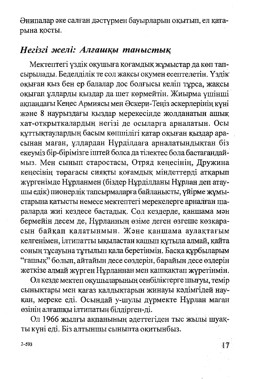Әнипалар әке салған дәстүрмен бауырларын оқытып, ел қатарына қосты.

#### Негізгі желі: Алғашқы таныстық

Мектептегі үздік оқушыға қоғамдық жұмыстар да көп тапсырылады. Беделділік те сол жақсы оқумен есептелетін. Үздік окыған қыз бен ер балалар дос болғысы келіп тұрса, жақсы окыған ұлдарды қыздар да шет көрмейтін. Жиырма үшінші акпандағы Кеңес Армиясы мен Әскери-Теңіз әскерлерінің күні және 8 наурыздағы қыздар мерекесінде жолданатын ашық хат-открыткалардың негізі де осыларға арналатын. Осы құттықтаулардың басым көпшілігі қатар оқыған қыздар арасынан маған, ұлдардан Нұрділдаға арналатындықтан біз екеуміз бір-бірімізге іштей болса да тілектес бола бастағандаймыз. Мен сынып старостасы, Отряд кеңесінің, Дружина кеңесінің төрағасы сияқты қоғамдық міндеттерді атқарып жүргенімде Нұрланмен (біздер Нұрділданы Нұрлан деп атаушы едік) пионерлік тапсырмаларға байланысты, үйірме жұмыстарына қатысты немесе мектептегі мерекелерге арналған шараларда жиі кездесе бастадық. Сол кездерде, қаншама мән бермейін десем де, Нұрланның өзіме деген өзгеше көзқарасын байқап қалатынмын. Және қаншама аулақтағым келгенімен, ілтипатты ықыластан қашып құтыла алмай, қайта соның тұсауына тұтылып қала беретінмін. Басқа құрбыларым "ғашық" болып, айтайын десе сөздерін, барайын десе өздерін жеткізе алмай жүрген Нұрланнан мен қашқақтап жүретінмін.

Ол кезде мектеп оқушыларының сенбіліктерге шығуы, темір сынықтары мен қағаз қалдықтарын жинауы кәдімгідей науқан, мереке еді. Осындай у-шулы дүрмекте Нұрлан маған өзінің алғашқы ілтипатын білдірген-ді.

Ол 1966 жылғы ақпанының әдеттегіден тыс жылы шуақты күні еді. Біз алтыншы сыныпта оқитынбыз.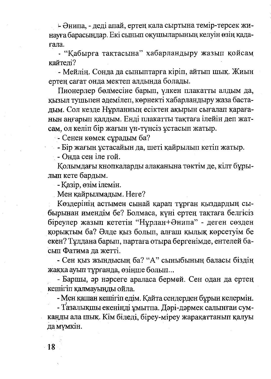- Әнипа, - деді апай, ертең қала сыртына темір-терсек жинауға барасындар. Екі сынып оқушыларының келуін өзің қадағала.

- "Кабырға тақтасына" хабарландыру жазып қойсам кайтелі?

- Мейлің. Сонда да сыныптарға кіріп, айтып шық. Жиын ертең сағат онда мектеп алдында болады.

Пионерлер бөлмесіне барып, үлкен плакатты алдым да, қызыл түшыпен әдемілеп, көрнекті хабарландыру жаза бастадым. Сол кезде Нұрланның есіктен ақырын сығалап қарағанын аңғарып қалдым. Енді плакатты тақтаға ілейін деп жатсам, ол келіп бір жағын үн-түнсіз ұстасып жатыр.

- Сенен көмек сұрадым ба?

- Бір жағын ұстасайын да, шеті қайрылып кетіп жатыр.

- Онда сен іле ғой.

Колымдағы кнопкаларды алақанына төктім де, кілт бұрылып кете бардым.

- Қазір, өзім ілемін.

Мен қайрылмадым. Неге?

Көздерінің астымен сынай қарап тұрған қыздардың сыбырынан имендім бе? Болмаса, күні ертең тақтаға белгісіз біреулер жазып кететін "Нұрлан+Әнипа" - деген сөзден қорықтым ба? Әлде қыз болып, алғаш қылық көрсетуім бе екен? Тұлдана барып, партаға отыра бергенімде, ентелей басып Фатима да жетті.

- Сен қыз жындысың ба? "А" сыныбының баласы біздің жаққа ауып тұрғанда, өзіңше болып...

- Баршы, әр нәрсеге араласа бермей. Сен одан да ертең кешігіп қалмауынды ойла.

- Мен қашан кешігіп едім. Қайта сендерден бұрын келермін.

- Тазалықшы екенінді ұмытпа. Дәрі-дәрмек салынған сумканды ала шық. Кім біледі, біреу-міреу жарақаттанып қалуы да мүмкін.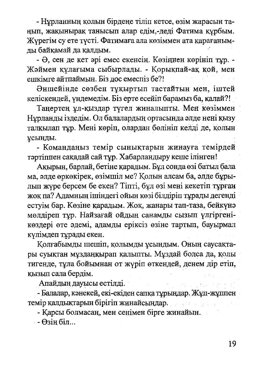- Нұрланның қолын бірдеңе тіліп кетсе, өзім жарасын таңып, жақынырақ танысып алар едім,-деді Фатима құрбым. Журегім су ете түсті. Фатимаға ала көзіммен ата қарағанымды байқамай да қалдым.

- Ә, сен де кет әрі емес екенсің. Көзіңнен көрініп тұр. -Жэймен құлағыма сыбырлады. - Қорықпай-ақ қой, мен ешкімге айтпаймын. Біз дос емеспіз бе?!

Әншейінде сөзбен тұқыртып тастайтын мен, іштей келіскендей, үндемедім. Біз ерте есейіп барамыз ба, қалай?!

Таңертең ұл-қыздар түгел жиналыпты. Мен көзіммен Нұрланды іздедім. Ол балалардың ортасында әлде нені қызу талқылап тұр. Мені көріп, олардан бөлініп келді де, қолын ұсынды.

- Командаңыз темір сынықтарын жинауға темірдей тәртіппен сақадай сай тұр. Хабарландыру кеше ілінген!

Ақырын, барлай, бетіне қарадым. Бұл сонда өзі батыл бала ма, элде өркөкірек, өзімшіл ме? Қолын алсам ба, әлде бұрылып жүре берсем бе екен? Тіпті, бұл өзі мені кекетіп тұрған жоқ па? Адамның ішіндегі ойын көзі білдіріп тұрады дегенді естуім бар. Көзіне қарадым. Жоқ, жанары тап-таза, бейкүнә мөлдіреп тұр. Найзағай ойдың санамды сызып үлгіргенікөздері өте әдемі, адамды еріксіз өзіне тартып, бауырмал күлімдеп тұрады екен.

Қолғабымды шешіп, қолымды ұсындым. Оның саусақтары суықтан мұздаңқырап қалыпты. Мұздай болса да, қолы тигенде, тұла бойымнан от жүріп өткендей, денем дір етіп, қызып сала бердім.

Апайдың дауысы естілді.

- Балалар, кәнекей, екі-екіден сапқа тұрындар. Жұп-жұппен темір қалдықтарын бірігіп жинайсыңдар.

- Қарсы болмасаң, мен сенімен бірге жинайын.

 $-\Theta$ зің біл...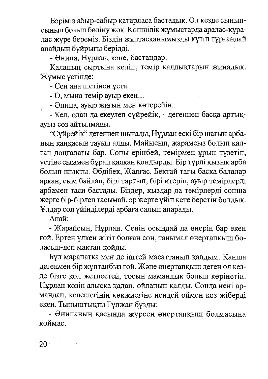Бәріміз абыр-сабыр қатарласа бастадық. Ол кезде сыныпсынып болып бөліну жоқ. Көпшілік жұмыстарда аралас-құралас жүре береміз. Біздің жұптасқанымызды күтіп тұрғандай апайдың бұйрығы берілді.

- Әнипа, Нұрлан, кәне, бастаңдар.

Каланың сыртына келіп, темір қалдықтарын жинадық. Жумыс устінде:

- Сен ана шетінен ұста...

 $-$  О, мына темір ауыр екен...

- Әнипа, ауыр жағын мен көтерейін...

- Кел, одан да екеулеп сүйрейік, - дегеннен басқа артықауыз сөз айтылмады.

"Сүйрейік" дегеннен шығады, Нұрлан ескі бір шағын арбаның қаңқасын тауып алды. Майысып, жарамсыз болып қалған доңғалағы бар. Соны ерінбей, темірмен ұрып түзетіп, үстіне сыммен бұрап қалқан қондырды. Бір түрлі қызық арба болып шықты. Әбдібек, Жалғас, Бектай тағы басқа балалар арқан, сым байлап, бірі тартып, бірі итеріп, ауыр темірлерді арбамен таси бастады. Біздер, қыздар да темірлерді сонша жерге бір-бірлеп тасымай, әр жерге үйіп кете беретін болдық. Ұлдар сол үйінділерді арбаға салып апарады.

Апай:

- Жарайсың, Нұрлан. Сенің осындай да өнерің бар екен ғой. Ертең үлкен жігіт болған соң, танымал өнертапқыш боласың-деп мақтап қойды.

Бұл марапатқа мен де іштей масаттанып қалдым. Қанша дегенмен бір жұптанбыз ғой. Және өнертапқыш деген ол кезде бізге қол жетпестей, тосын мамандық болып көрінетін. Нұрлан көзін алысқа қадап, ойланып қалды. Сонда нені армандап, келешегінің көкжиегіне нендей оймен көз жіберді екен. Тыныштықты Гүлжан бұзды:

- Әнипаның қасында жүрсең өнертапқыш болмасыңа коймас.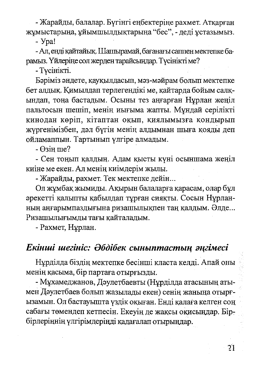- Жарайды, балалар. Бүгінгі еңбектеріне рахмет. Атқарған жұмыстарыңа, ұйымшылдықтарыңа "бес", - деді ұстазымыз.

- Ypa!

- Ал, енді қайтайық. Шашырамай, бағанағы саппен мектепке барамыз. Үйлеріңе сол жерден тарайсындар. Түсінікті ме?

- Тусінікті.

Бэріміз әндете, қауқылдасып, мәз-мәйрам болып мектепке бет алдык. Кимылдап терлегендікі ме, кайтарда бойым салкындап, тона бастадым. Осыны тез аңғарған Нұрлан жеңіл пальтосын шешіп, менің иығыма жапты. Мұндай серілікті кинодан көріп, кітаптан оқып, қиялымызға қондырып жүргенімізбен, дәл бүгін менің алдымнан шыға қояды деп ойламаппын. Тартынып үлгіре алмадым.

 $\Theta$ зін ше?

- Сен тоңып қалдың. Адам қысты күні осыншама жеңіл киіне ме екен. Ал менің киімдерім жылы.

- Жарайды, рахмет. Тек мектепке дейін...

Ол жұмбақ жымиды. Ақырын балаларға қарасам, олар бұл әрекетті қалыпты қабылдап тұрған сияқты. Сосын Нұрланның аңғарымпаздығына ризашылықпен таң қалдым. Әлде... Ризашылығымды тағы қайталадым.

- Рахмет, Нұрлан.

#### Екінші шегініс: Әбдібек сыныптастың әңгімесі

Нұрділда біздің мектепке бесінші класта келді. Апай оны менің қасыма, бір партаға отырғызды.

- Мұхамеджанов, Дәулетбаевты (Нұрділда атасының атымен Дэулетбаев болып жазылады екен) сенің жаныңа отырғызамын. Ол бастауышта үздік оқыған. Енді қалаға келген соң сабағы төмендеп кетпесін. Екеуің де жақсы оқисындар. Бірбірлеріңнің үлгірімдерінді қадағалап отырындар.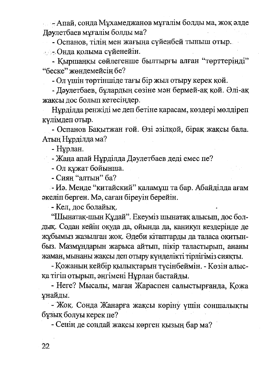Апай, сонда Мухамеджанов муғалім болды ма, жоқ әлде Доулетбаев мұғалім болды ма?

- Оспанов, тілің мен жағыңа сүйенбей тыныш отыр.

**• • Онла колыма суйенейін.** 

- Қыршаңқы сөйлегенше былтырғы алған "төрттерінді" "беске" жөндемейсің бе?

- Ол ушін төртіншіде тағы бір жыл отыру керек қой.

- Дәулетбаев, бұлардың сөзіне мән бермей-ақ қой. Әлі-ақ жаксы дос болып кетесіндер.

Нурлілла ренжіді ме деп бетіне қарасам, көздері мөлдіреп кулімдеп отыр.

- Оспанов Бақытжан ғой. Өзі әзілқой, бірақ жақсы бала. Атын Нұрділда ма?

- Нурлан.

- Жана апай Нұрділда Дәулетбаев деді емес пе?

- Ол кұжат бойынша.

- Сиян "алтын" ба?

- Иә. Менде "китайский" қаламұш та бар. Абайділда ағам экеліп берген. Мә, саған біреуін берейін.

- Кел. лос болайык.

"Шынатақ-шын Құдай". Екеуміз шынатақ алысып, дос болдық. Содан кейін оқуда да, ойында да, каникул кездерінде де жұбымыз жазылған жоқ. Әдеби кітаптарды да таласа оқитынбыз. Мазмундарын жарыса айтып, пікір таластырып, ананы жаман, мынаны жақсы деп отыру күнделікті тірлігіміз сияқты.

- Қожаның кейбір қылықтарын түсінбеймін. - Көзін алысқа тігіп отырып, әңгімені Нұрлан бастайды.

- Неге? Мысалы, маған Жараспен салыстырғанда, Қожа унайды.

- Жок. Сонда Жанарға жақсы көріну үшін соншалықты бұзық болуы керек пе?

- Сенің де сондай жақсы көрген қызың бар ма?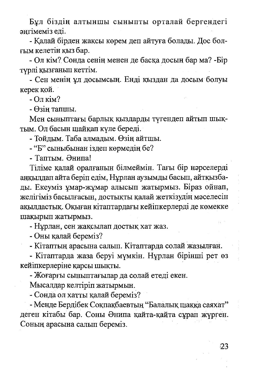Бұл біздің алтыншы сыныпты орталай бергендегі энгімеміз елі.

- Калай бірден жақсы көрем деп айтуға болады. Дос болғым келетін қыз бар.

- Ол кім? Сонда сенің менен де басқа досың бар ма? -Бір турлі қызғанып кеттім.

- Сен менің ұл досымсың. Енді қыздан да досым болуы керек кой.

- Ол кім?

- Өзін тапшы.

Мен сыныптағы барлық қыздарды түгендеп айтып шықтым. Ол басын шайқап күле береді.

- Тойлым. Таба алмалым. Өзін айтшы.

- "Б" сыныбынан іздеп көрмедің бе?

- Таптым. Әнипа!

Тіліме қалай оралғанын білмеймін. Тағы бір нәрселерді анкылдап айта беріп едім, Нұрлан аузымды басып, айтқызбады. Екеуміз ұмар-жұмар алысып жатырмыз. Біраз ойнап, желігіміз басылғасын, достықты қалай жеткізудің мәселесін ақылдастық. Оқыған кітаптардағы кейіпкерлерді де көмекке шақырып жатырмыз.

- Нұрлан, сен жақсылап достық хат жаз.

- Оны қалай береміз?

- Кітаптың арасына салып. Кітаптарда солай жазылған.

- Кітаптарда жаза беруі мүмкін. Нұрлан бірінші рет өз кейіпкерлеріне қарсы шықты.

- Жоғарғы сыныптағылар да солай етеді екен.

Мысалдар келтіріп жатырмын.

- Сонда ол хатты қалай береміз?

- Менде Бердібек Соқпақбаевтың "Балалық шаққа саяхат" деген кітабы бар. Соны Әнипа қайта-қайта сұрап жүрген. Соның арасына салып береміз.

23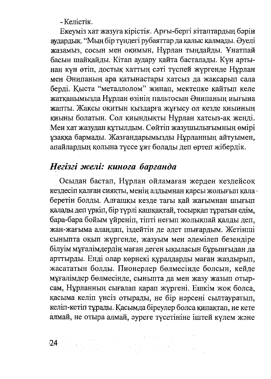- Келістік.

Екеуміз хат жазуға кірістік. Арғы-бергі кітаптардың бәрін аудардык. "Мың бір түндегі рубаяттар да қалыс қалмады. Әуелі жазамыз, сосын мен оқимын, Нұрлан тыңдайды. Ұнатпай басын шайқайды. Кітап аудару қайта басталады. Күн артынан күн өтіп, достық хаттың сәті түспей жүргенде Нұрлан мен Әнипаның ара қатынастары хатсыз да жақсарып сала берді. Қыста "металлолом" жинап, мектепке қайтып келе жатқанымызда Нұрлан өзінің пальтосын Әнипаның иығына жапты. Жақсы оқитын қыздарға жұғысу ол кезде қиынның қиыны болатын. Сол қиындықты Нұрлан хатсыз-ақ жеңді. Мен хат жазудан құтылдым. Сөйтіп жазушылығымның өмірі ұзаққа бармады. Жазғандарымызды Нұрланның айтуымен, апайлардың қолына түссе ұят болады деп өртеп жібердік.

#### Негізгі желі: кинога барғанда

Осыдан бастап, Нұрлан ойламаған жерден кездейсоқ кездесіп қалған сияқты, менің алдымнан қарсы жолығып қала · беретін болды. Алғашқы кезде тағы қай жағымнан шығып қалады деп үркіп, бір түрлі қашқақтай, тосырқап тұратын едім, бара-бара бойым үйреніп, тіпті неғып жолықпай қалды деп, жан-жағыма алаңдап, іздейтін де әдет шығардым. Жетінші сыныпта оқып жүргенде, жазуым мен әдемілеп безендіре білуім мұғалімдердің маған деген ықыласын бұрынғыдан да арттырды. Енді олар көрнекі құралдарды маған жаздырып, жасататын болды. Пионерлер бөлмесінде болсын, кейде мұғалімдер бөлмесінде, сыныпта да мен жазу жазып отырсам, Нұрланның сығалап қарап жүргені. Ешкім жоқ болса, қасыма келіп үнсіз отырады, не бір нәрсені сылтауратып, келіп-кетіп тұрады. Қасымда біреулер болса қипақтап, не кете алмай, не отыра алмай, эуреге түсетініне іштей күлем және